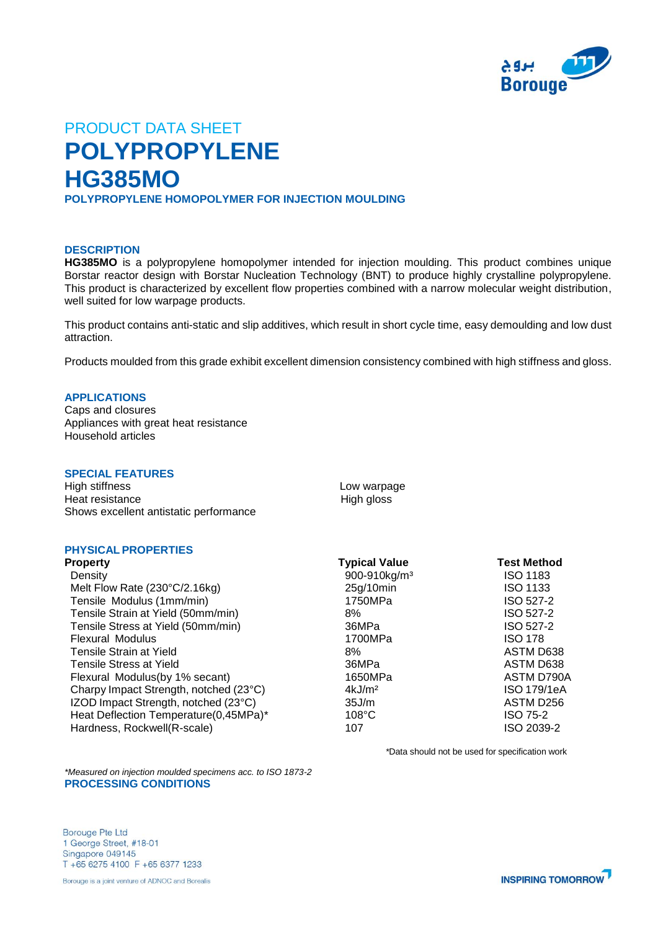

# PRODUCT DATA SHEET **POLYPROPYLENE HG385MO POLYPROPYLENE HOMOPOLYMER FOR INJECTION MOULDING**

## **DESCRIPTION**

**HG385MO** is a polypropylene homopolymer intended for injection moulding. This product combines unique Borstar reactor design with Borstar Nucleation Technology (BNT) to produce highly crystalline polypropylene. This product is characterized by excellent flow properties combined with a narrow molecular weight distribution, well suited for low warpage products.

This product contains anti-static and slip additives, which result in short cycle time, easy demoulding and low dust attraction.

Products moulded from this grade exhibit excellent dimension consistency combined with high stiffness and gloss.

# **APPLICATIONS**

Caps and closures Appliances with great heat resistance Household articles

### **SPECIAL FEATURES**

High stiffness **Low warpage** Heat resistance High gloss Shows excellent antistatic performance

# **PHYSICAL PROPERTIES**

| <b>Property</b>                        | <b>Typical Value</b>     | <b>Test Method</b> |
|----------------------------------------|--------------------------|--------------------|
| Density                                | 900-910kg/m <sup>3</sup> | <b>ISO 1183</b>    |
| Melt Flow Rate (230°C/2.16kg)          | 25g/10min                | <b>ISO 1133</b>    |
| Tensile Modulus (1mm/min)              | 1750MPa                  | ISO 527-2          |
| Tensile Strain at Yield (50mm/min)     | 8%                       | ISO 527-2          |
| Tensile Stress at Yield (50mm/min)     | 36MPa                    | ISO 527-2          |
| <b>Flexural Modulus</b>                | 1700MPa                  | <b>ISO 178</b>     |
| Tensile Strain at Yield                | 8%                       | ASTM D638          |
| Tensile Stress at Yield                | 36MPa                    | ASTM D638          |
| Flexural Modulus(by 1% secant)         | 1650MPa                  | ASTM D790A         |
| Charpy Impact Strength, notched (23°C) | 4kJ/m <sup>2</sup>       | <b>ISO 179/1eA</b> |
| IZOD Impact Strength, notched (23°C)   | 35J/m                    | ASTM D256          |
| Heat Deflection Temperature(0,45MPa)*  | $108^{\circ}$ C          | <b>ISO 75-2</b>    |
| Hardness, Rockwell(R-scale)            | 107                      | ISO 2039-2         |

*\**Data should not be used for specification work

*\*Measured on injection moulded specimens acc. to ISO 1873-2* **PROCESSING CONDITIONS** 

**Borouge Pte Ltd** 1 George Street, #18-01 Singapore 049145 T +65 6275 4100 F +65 6377 1233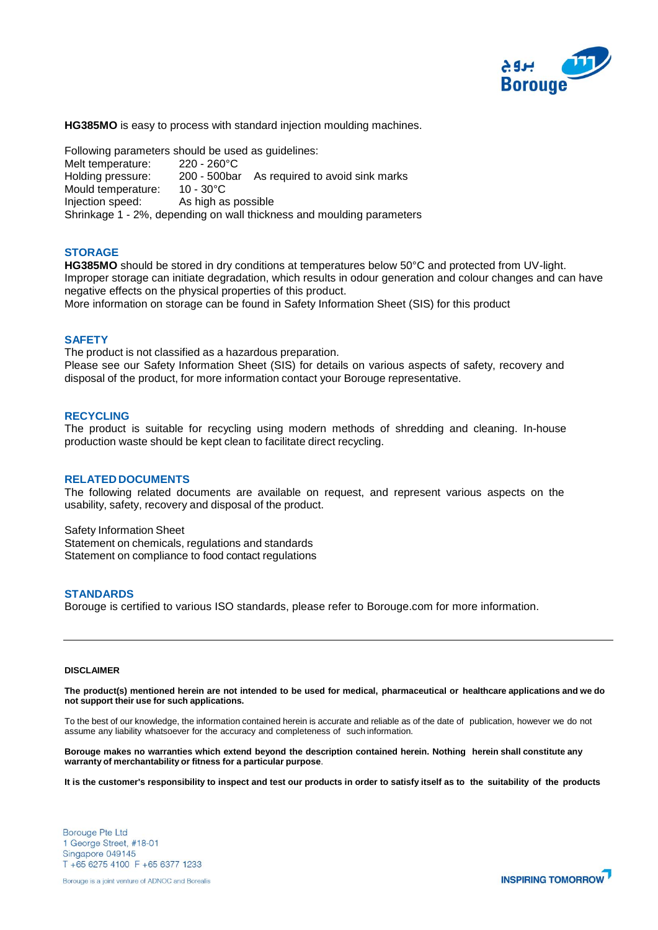

**HG385MO** is easy to process with standard injection moulding machines.

Following parameters should be used as guidelines: Melt temperature: 220 - 260°C Holding pressure: 200 - 500bar As required to avoid sink marks Mould temperature: 10 - 30°C Injection speed: As high as possible Shrinkage 1 - 2%, depending on wall thickness and moulding parameters

#### **STORAGE**

**HG385MO** should be stored in dry conditions at temperatures below 50°C and protected from UV-light. Improper storage can initiate degradation, which results in odour generation and colour changes and can have negative effects on the physical properties of this product. More information on storage can be found in Safety Information Sheet (SIS) for this product

**SAFETY**

The product is not classified as a hazardous preparation. Please see our Safety Information Sheet (SIS) for details on various aspects of safety, recovery and disposal of the product, for more information contact your Borouge representative.

### **RECYCLING**

The product is suitable for recycling using modern methods of shredding and cleaning. In-house production waste should be kept clean to facilitate direct recycling.

#### **RELATED DOCUMENTS**

The following related documents are available on request, and represent various aspects on the usability, safety, recovery and disposal of the product.

Safety Information Sheet Statement on chemicals, regulations and standards Statement on compliance to food contact regulations

#### **STANDARDS**

Borouge is certified to various ISO standards, please refer to Borouge.com for more information.

#### **DISCLAIMER**

The product(s) mentioned herein are not intended to be used for medical, pharmaceutical or healthcare applications and we do **not support their use for such applications.**

To the best of our knowledge, the information contained herein is accurate and reliable as of the date of publication, however we do not assume any liability whatsoever for the accuracy and completeness of such information.

Borouge makes no warranties which extend beyond the description contained herein. Nothing herein shall constitute any **warranty of merchantability or fitness for a particular purpose**.

It is the customer's responsibility to inspect and test our products in order to satisfy itself as to the suitability of the products

**Borouge Pte Ltd** 1 George Street, #18-01 Singapore 049145 T +65 6275 4100 F +65 6377 1233